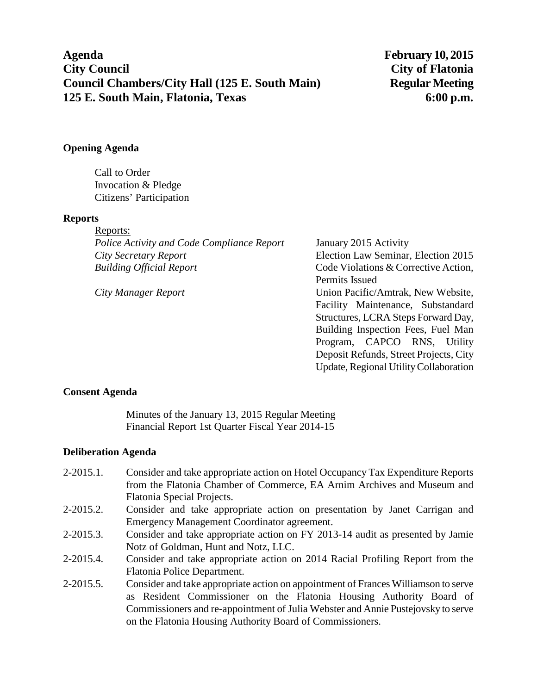**Agenda February 10, 2015 City Council City of Flatonia Council Chambers/City Hall (125 E. South Main)** Regular Meeting **125 E. South Main, Flatonia, Texas 6:00 p.m.**

### **Opening Agenda**

Call to Order Invocation & Pledge Citizens' Participation

#### **Reports**

Reports: *Police Activity and Code Compliance Report* January 2015 Activity *City Secretary Report* Election Law Seminar, Election 2015 *Building Official Report* Code Violations & Corrective Action,

Permits Issued *City Manager Report* Union Pacific/Amtrak, New Website, Facility Maintenance, Substandard Structures, LCRA Steps Forward Day, Building Inspection Fees, Fuel Man Program, CAPCO RNS, Utility Deposit Refunds, Street Projects, City Update, Regional Utility Collaboration

#### **Consent Agenda**

Minutes of the January 13, 2015 Regular Meeting Financial Report 1st Quarter Fiscal Year 2014-15

#### **Deliberation Agenda**

- 2-2015.1. Consider and take appropriate action on Hotel Occupancy Tax Expenditure Reports from the Flatonia Chamber of Commerce, EA Arnim Archives and Museum and Flatonia Special Projects.
- 2-2015.2. Consider and take appropriate action on presentation by Janet Carrigan and Emergency Management Coordinator agreement.
- 2-2015.3. Consider and take appropriate action on FY 2013-14 audit as presented by Jamie Notz of Goldman, Hunt and Notz, LLC.
- 2-2015.4. Consider and take appropriate action on 2014 Racial Profiling Report from the Flatonia Police Department.
- 2-2015.5. Consider and take appropriate action on appointment of Frances Williamson to serve as Resident Commissioner on the Flatonia Housing Authority Board of Commissioners and re-appointment of Julia Webster and Annie Pustejovsky to serve on the Flatonia Housing Authority Board of Commissioners.